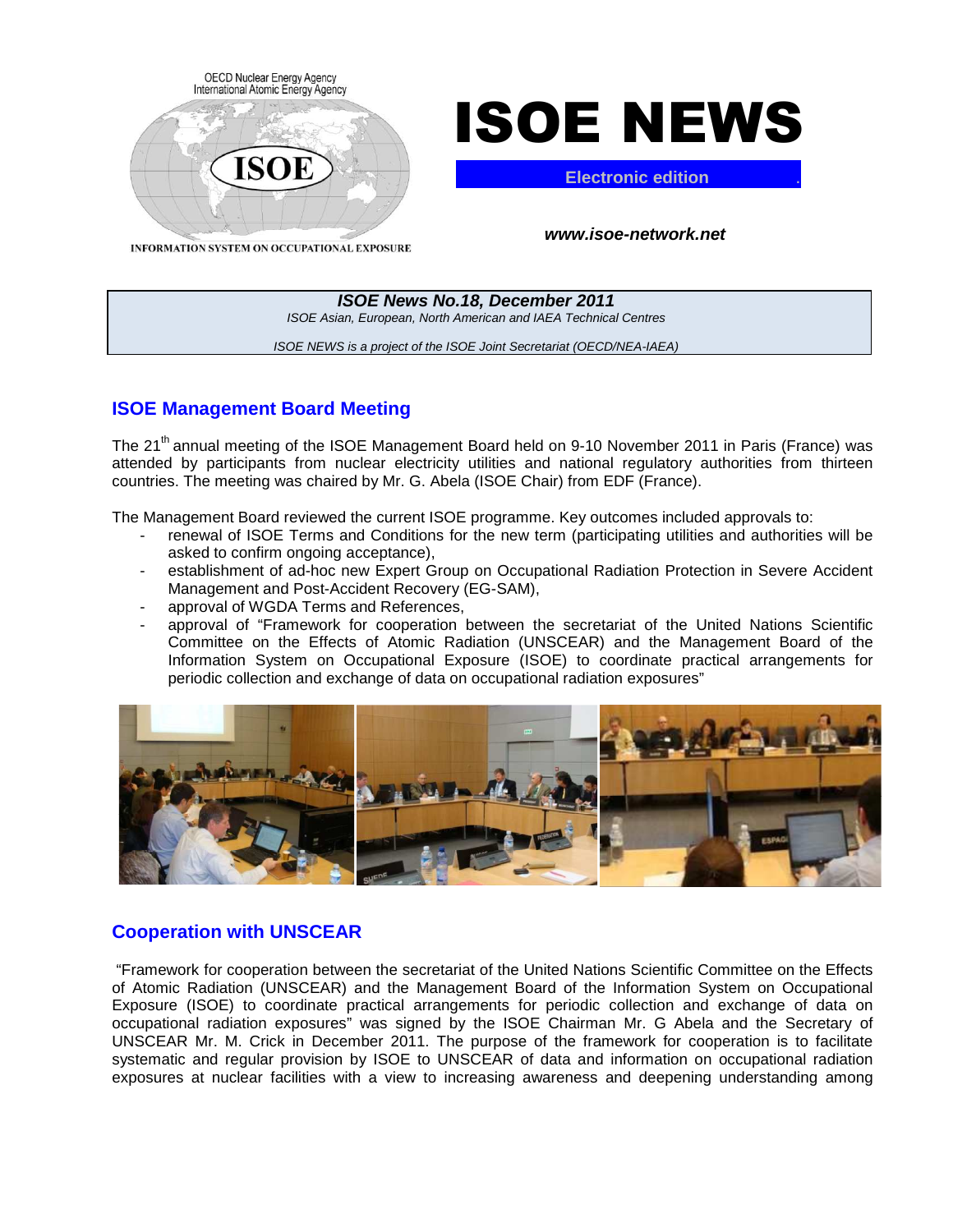



**Electronic edition** .

**ISOE News No.18, December 2011**  ISOE Asian, European, North American and IAEA Technical Centres ISOE NEWS is a project of the ISOE Joint Secretariat (OECD/NEA-IAEA)

## **ISOE Management Board Meeting**

The 21<sup>th</sup> annual meeting of the ISOE Management Board held on 9-10 November 2011 in Paris (France) was attended by participants from nuclear electricity utilities and national regulatory authorities from thirteen countries. The meeting was chaired by Mr. G. Abela (ISOE Chair) from EDF (France).

The Management Board reviewed the current ISOE programme. Key outcomes included approvals to:

- renewal of ISOE Terms and Conditions for the new term (participating utilities and authorities will be asked to confirm ongoing acceptance),
- establishment of ad-hoc new Expert Group on Occupational Radiation Protection in Severe Accident Management and Post-Accident Recovery (EG-SAM),
- approval of WGDA Terms and References,
- approval of "Framework for cooperation between the secretariat of the United Nations Scientific Committee on the Effects of Atomic Radiation (UNSCEAR) and the Management Board of the Information System on Occupational Exposure (ISOE) to coordinate practical arrangements for periodic collection and exchange of data on occupational radiation exposures"



## **Cooperation with UNSCEAR**

 "Framework for cooperation between the secretariat of the United Nations Scientific Committee on the Effects of Atomic Radiation (UNSCEAR) and the Management Board of the Information System on Occupational Exposure (ISOE) to coordinate practical arrangements for periodic collection and exchange of data on occupational radiation exposures" was signed by the ISOE Chairman Mr. G Abela and the Secretary of UNSCEAR Mr. M. Crick in December 2011. The purpose of the framework for cooperation is to facilitate systematic and regular provision by ISOE to UNSCEAR of data and information on occupational radiation exposures at nuclear facilities with a view to increasing awareness and deepening understanding among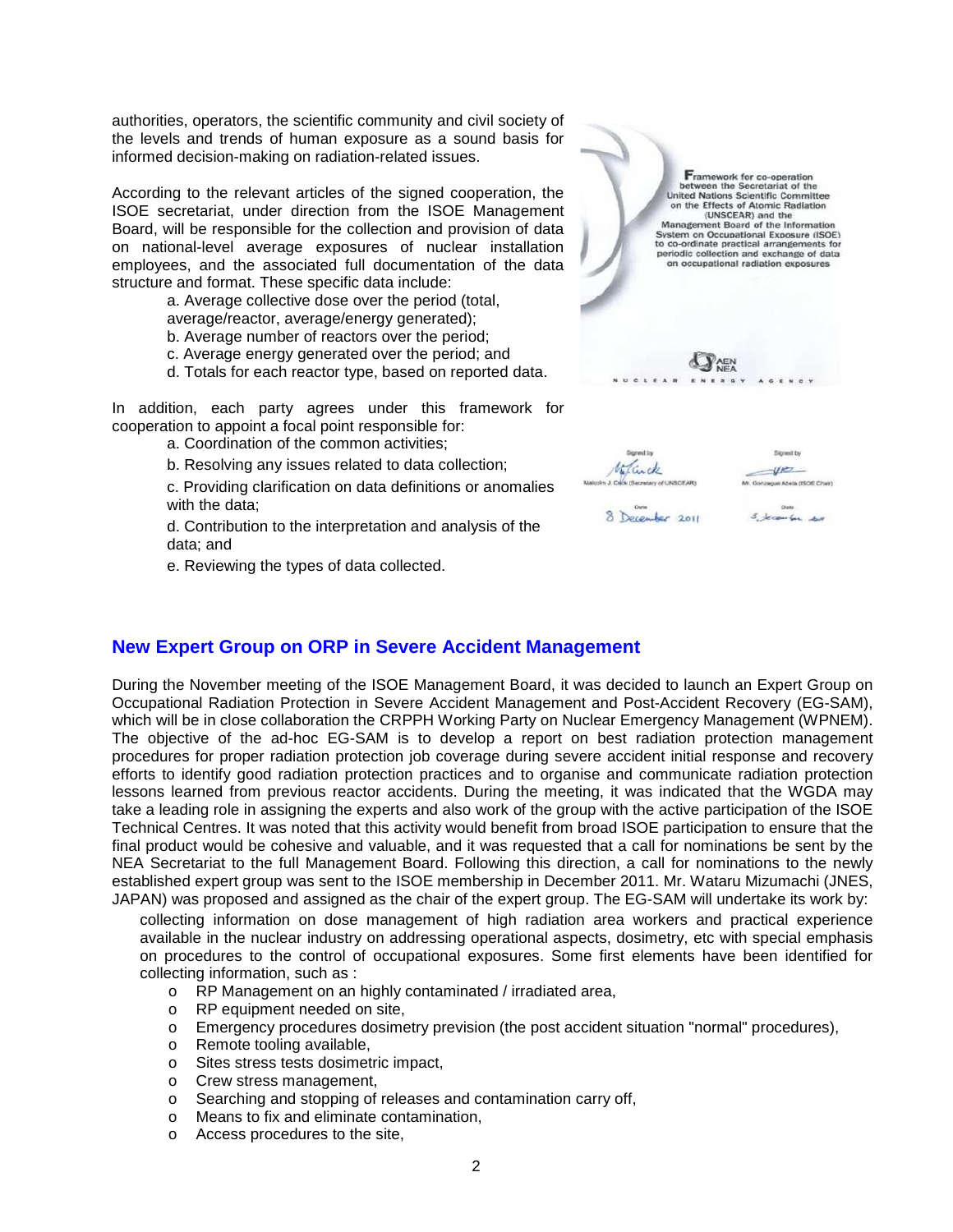authorities, operators, the scientific community and civil society of the levels and trends of human exposure as a sound basis for informed decision-making on radiation-related issues.

According to the relevant articles of the signed cooperation, the ISOE secretariat, under direction from the ISOE Management Board, will be responsible for the collection and provision of data on national-level average exposures of nuclear installation employees, and the associated full documentation of the data structure and format. These specific data include:

a. Average collective dose over the period (total, average/reactor, average/energy generated);

- b. Average number of reactors over the period;
- c. Average energy generated over the period; and

d. Totals for each reactor type, based on reported data.

In addition, each party agrees under this framework for cooperation to appoint a focal point responsible for:

a. Coordination of the common activities;

b. Resolving any issues related to data collection;

c. Providing clarification on data definitions or anomalies with the data;

d. Contribution to the interpretation and analysis of the data; and

e. Reviewing the types of data collected.



## **New Expert Group on ORP in Severe Accident Management**

During the November meeting of the ISOE Management Board, it was decided to launch an Expert Group on Occupational Radiation Protection in Severe Accident Management and Post-Accident Recovery (EG-SAM), which will be in close collaboration the CRPPH Working Party on Nuclear Emergency Management (WPNEM). The objective of the ad-hoc EG-SAM is to develop a report on best radiation protection management procedures for proper radiation protection job coverage during severe accident initial response and recovery efforts to identify good radiation protection practices and to organise and communicate radiation protection lessons learned from previous reactor accidents. During the meeting, it was indicated that the WGDA may take a leading role in assigning the experts and also work of the group with the active participation of the ISOE Technical Centres. It was noted that this activity would benefit from broad ISOE participation to ensure that the final product would be cohesive and valuable, and it was requested that a call for nominations be sent by the NEA Secretariat to the full Management Board. Following this direction, a call for nominations to the newly established expert group was sent to the ISOE membership in December 2011. Mr. Wataru Mizumachi (JNES, JAPAN) was proposed and assigned as the chair of the expert group. The EG-SAM will undertake its work by:

- collecting information on dose management of high radiation area workers and practical experience available in the nuclear industry on addressing operational aspects, dosimetry, etc with special emphasis on procedures to the control of occupational exposures. Some first elements have been identified for collecting information, such as :
	- o RP Management on an highly contaminated / irradiated area,
	- o RP equipment needed on site,
	- o Emergency procedures dosimetry prevision (the post accident situation "normal" procedures),
	- o Remote tooling available,
	- o Sites stress tests dosimetric impact,
	- o Crew stress management,
	- o Searching and stopping of releases and contamination carry off,
	- o Means to fix and eliminate contamination,
	- o Access procedures to the site,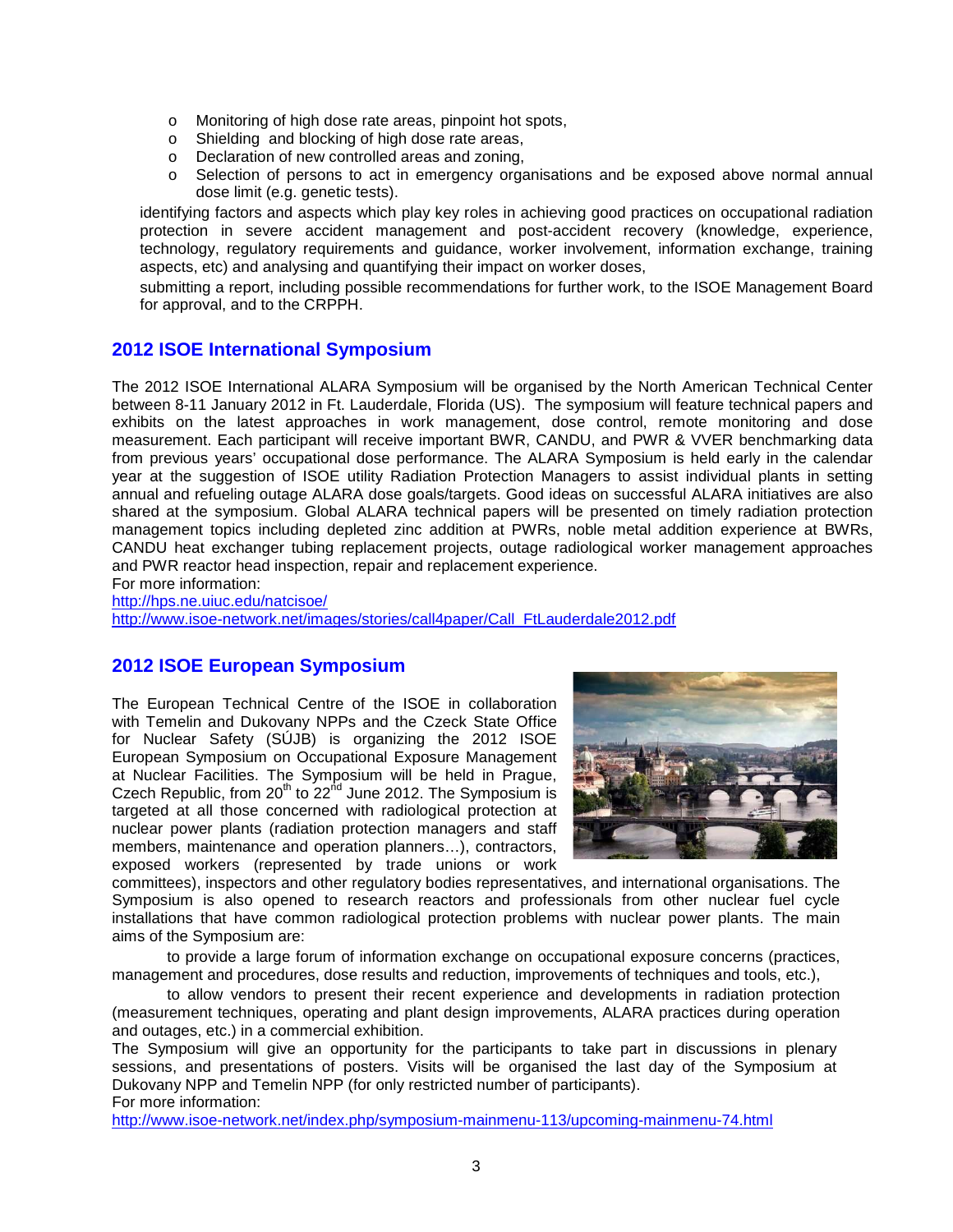- o Monitoring of high dose rate areas, pinpoint hot spots,
- o Shielding and blocking of high dose rate areas,
- o Declaration of new controlled areas and zoning,
- o Selection of persons to act in emergency organisations and be exposed above normal annual dose limit (e.g. genetic tests).
- identifying factors and aspects which play key roles in achieving good practices on occupational radiation protection in severe accident management and post-accident recovery (knowledge, experience, technology, regulatory requirements and guidance, worker involvement, information exchange, training aspects, etc) and analysing and quantifying their impact on worker doses,
- submitting a report, including possible recommendations for further work, to the ISOE Management Board for approval, and to the CRPPH.

# **2012 ISOE International Symposium**

The 2012 ISOE International ALARA Symposium will be organised by the North American Technical Center between 8-11 January 2012 in Ft. Lauderdale, Florida (US). The symposium will feature technical papers and exhibits on the latest approaches in work management, dose control, remote monitoring and dose measurement. Each participant will receive important BWR, CANDU, and PWR & VVER benchmarking data from previous years' occupational dose performance. The ALARA Symposium is held early in the calendar year at the suggestion of ISOE utility Radiation Protection Managers to assist individual plants in setting annual and refueling outage ALARA dose goals/targets. Good ideas on successful ALARA initiatives are also shared at the symposium. Global ALARA technical papers will be presented on timely radiation protection management topics including depleted zinc addition at PWRs, noble metal addition experience at BWRs, CANDU heat exchanger tubing replacement projects, outage radiological worker management approaches and PWR reactor head inspection, repair and replacement experience.

For more information:

http://hps.ne.uiuc.edu/natcisoe/

http://www.isoe-network.net/images/stories/call4paper/Call\_FtLauderdale2012.pdf

## **2012 ISOE European Symposium**

The European Technical Centre of the ISOE in collaboration with Temelin and Dukovany NPPs and the Czeck State Office for Nuclear Safety (SÚJB) is organizing the 2012 ISOE European Symposium on Occupational Exposure Management at Nuclear Facilities. The Symposium will be held in Prague, Czech Republic, from  $20<sup>th</sup>$  to  $22<sup>nd</sup>$  June 2012. The Symposium is targeted at all those concerned with radiological protection at nuclear power plants (radiation protection managers and staff members, maintenance and operation planners…), contractors, exposed workers (represented by trade unions or work



committees), inspectors and other regulatory bodies representatives, and international organisations. The Symposium is also opened to research reactors and professionals from other nuclear fuel cycle installations that have common radiological protection problems with nuclear power plants. The main aims of the Symposium are:

 to provide a large forum of information exchange on occupational exposure concerns (practices, management and procedures, dose results and reduction, improvements of techniques and tools, etc.),

 to allow vendors to present their recent experience and developments in radiation protection (measurement techniques, operating and plant design improvements, ALARA practices during operation and outages, etc.) in a commercial exhibition.

The Symposium will give an opportunity for the participants to take part in discussions in plenary sessions, and presentations of posters. Visits will be organised the last day of the Symposium at Dukovany NPP and Temelin NPP (for only restricted number of participants). For more information:

http://www.isoe-network.net/index.php/symposium-mainmenu-113/upcoming-mainmenu-74.html